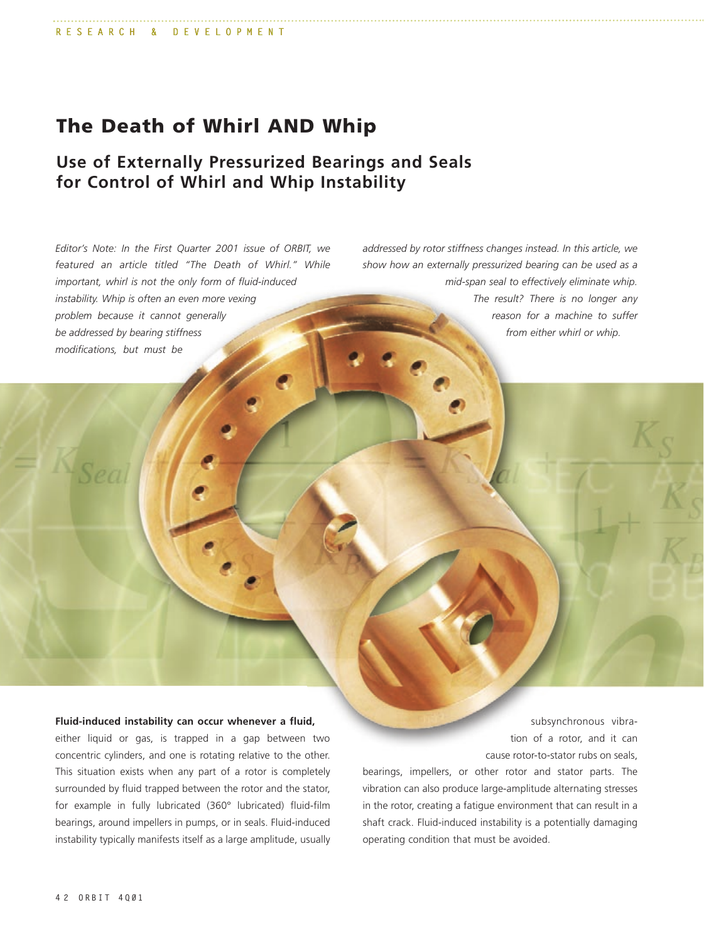# **The Death of Whirl AND Whip**

## **Use of Externally Pressurized Bearings and Seals for Control of Whirl and Whip Instability**

*Editor's Note: In the First Quarter 2001 issue of ORBIT, we featured an article titled "The Death of Whirl." While important, whirl is not the only form of fluid-induced instability. Whip is often an even more vexing problem because it cannot generally be addressed by bearing stiffness modifications, but must be*

*addressed by rotor stiffness changes instead. In this article, we show how an externally pressurized bearing can be used as a mid-span seal to effectively eliminate whip. The result? There is no longer any reason for a machine to suffer from either whirl or whip.*

#### **Fluid-induced instability can occur whenever a fluid,**

either liquid or gas, is trapped in a gap between two concentric cylinders, and one is rotating relative to the other. This situation exists when any part of a rotor is completely surrounded by fluid trapped between the rotor and the stator, for example in fully lubricated (360° lubricated) fluid-film bearings, around impellers in pumps, or in seals. Fluid-induced instability typically manifests itself as a large amplitude, usually

subsynchronous vibration of a rotor, and it can cause rotor-to-stator rubs on seals,

bearings, impellers, or other rotor and stator parts. The vibration can also produce large-amplitude alternating stresses in the rotor, creating a fatigue environment that can result in a shaft crack. Fluid-induced instability is a potentially damaging operating condition that must be avoided.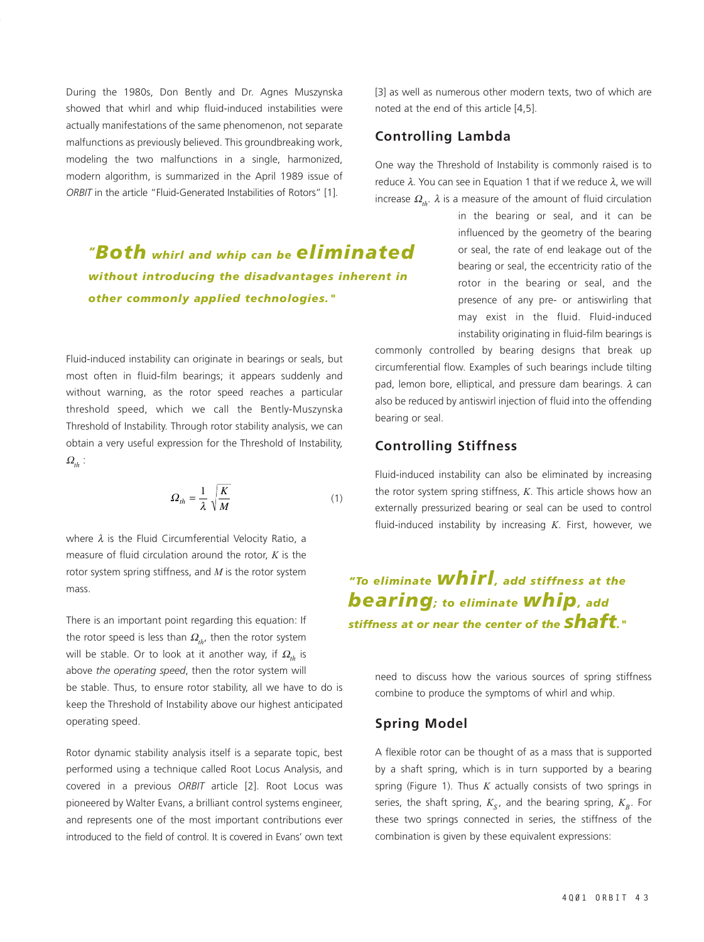During the 1980s, Don Bently and Dr. Agnes Muszynska showed that whirl and whip fluid-induced instabilities were actually manifestations of the same phenomenon, not separate malfunctions as previously believed. This groundbreaking work, modeling the two malfunctions in a single, harmonized, modern algorithm, is summarized in the April 1989 issue of *ORBIT* in the article "Fluid-Generated Instabilities of Rotors" [1].

*"Both whirl and whip can be eliminated without introducing the disadvantages inherent in other commonly applied technologies."*

Fluid-induced instability can originate in bearings or seals, but most often in fluid-film bearings; it appears suddenly and without warning, as the rotor speed reaches a particular threshold speed, which we call the Bently-Muszynska Threshold of Instability. Through rotor stability analysis, we can obtain a very useful expression for the Threshold of Instability,  $\Omega_{th}$  :

$$
\Omega_{th} = \frac{1}{\lambda} \sqrt{\frac{K}{M}} \tag{1}
$$

where  $\lambda$  is the Fluid Circumferential Velocity Ratio, a measure of fluid circulation around the rotor, *K* is the rotor system spring stiffness, and *M* is the rotor system mass.

There is an important point regarding this equation: If the rotor speed is less than  $\Omega_{th}$ , then the rotor system will be stable. Or to look at it another way, if  $\Omega_{th}$  is above *the operating speed*, then the rotor system will be stable. Thus, to ensure rotor stability, all we have to do is keep the Threshold of Instability above our highest anticipated operating speed.

Rotor dynamic stability analysis itself is a separate topic, best performed using a technique called Root Locus Analysis, and covered in a previous *ORBIT* article [2]. Root Locus was pioneered by Walter Evans, a brilliant control systems engineer, and represents one of the most important contributions ever introduced to the field of control. It is covered in Evans' own text [3] as well as numerous other modern texts, two of which are noted at the end of this article [4,5].

### **Controlling Lambda**

One way the Threshold of Instability is commonly raised is to reduce  $λ$ . You can see in Equation 1 that if we reduce  $λ$ , we will increase  $\Omega_{th}$ .  $\lambda$  is a measure of the amount of fluid circulation

> in the bearing or seal, and it can be influenced by the geometry of the bearing or seal, the rate of end leakage out of the bearing or seal, the eccentricity ratio of the rotor in the bearing or seal, and the presence of any pre- or antiswirling that may exist in the fluid. Fluid-induced instability originating in fluid-film bearings is

commonly controlled by bearing designs that break up circumferential flow. Examples of such bearings include tilting pad, lemon bore, elliptical, and pressure dam bearings.  $\lambda$  can also be reduced by antiswirl injection of fluid into the offending bearing or seal.

### **Controlling Stiffness**

Fluid-induced instability can also be eliminated by increasing the rotor system spring stiffness, *K*. This article shows how an externally pressurized bearing or seal can be used to control fluid-induced instability by increasing *K*. First, however, we

# *"To eliminate whirl, add stiffness at the bearing; to eliminate whip, add stiffness at or near the center of the shaft."*

need to discuss how the various sources of spring stiffness combine to produce the symptoms of whirl and whip.

### **Spring Model**

A flexible rotor can be thought of as a mass that is supported by a shaft spring, which is in turn supported by a bearing spring (Figure 1). Thus *K* actually consists of two springs in series, the shaft spring,  $K_s$ , and the bearing spring,  $K_B$ . For these two springs connected in series, the stiffness of the combination is given by these equivalent expressions: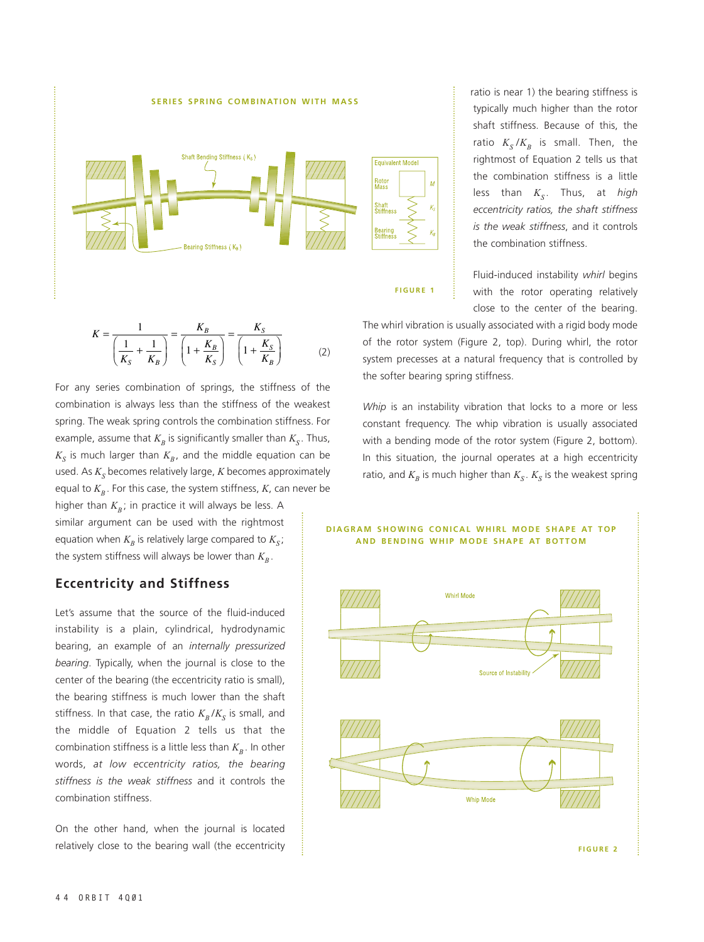

ratio is near 1) the bearing stiffness is typically much higher than the rotor shaft stiffness. Because of this, the ratio  $K_S/K_B$  is small. Then, the rightmost of Equation 2 tells us that the combination stiffness is a little less than  $K<sub>s</sub>$ . Thus, at *high eccentricity ratios, the shaft stiffness is the weak stiffness*, and it controls the combination stiffness.

Fluid-induced instability *whirl* begins with the rotor operating relatively close to the center of the bearing.

$$
\frac{1}{\left(\frac{1}{K_s} + \frac{1}{K_B}\right)} = \frac{K_B}{\left(1 + \frac{K_B}{K_B}\right)} = \frac{K_S}{\left(1 + \frac{K_S}{K_B}\right)}
$$
\nThe Wniri Vibration is usually associated with a rigid body mode of the rotor system (Figure 2, top). During whirl, the rotor system (Figure 2, top). During whirl, the rotor system precesses at a natural frequency that is controlled by the softer bearing spring stiffness.

For any series combination of springs, the stiffness of the combination is always less than the stiffness of the weakest spring. The weak spring controls the combination stiffness. For example, assume that  $K_R$  is significantly smaller than  $K_S$ . Thus,  $K<sub>S</sub>$  is much larger than  $K<sub>B</sub>$ , and the middle equation can be used. As  $K_S$  becomes relatively large,  $K$  becomes approximately equal to  $K_B$ . For this case, the system stiffness,  $K$ , can never be

higher than  $K_B$ ; in practice it will always be less. A similar argument can be used with the rightmost equation when  $K_p$  is relatively large compared to  $K_s$ ; the system stiffness will always be lower than  $K<sub>B</sub>$ .

### **Eccentricity and Stiffness**

Let's assume that the source of the fluid-induced instability is a plain, cylindrical, hydrodynamic bearing, an example of an *internally pressurized bearing*. Typically, when the journal is close to the center of the bearing (the eccentricity ratio is small), the bearing stiffness is much lower than the shaft stiffness. In that case, the ratio  $K_p/K_s$  is small, and the middle of Equation 2 tells us that the combination stiffness is a little less than  $K_B$ . In other words, *at low eccentricity ratios, the bearing stiffness is the weak stiffness* and it controls the combination stiffness.

On the other hand, when the journal is located relatively close to the bearing wall (the eccentricity

*Whip* is an instability vibration that locks to a more or less constant frequency. The whip vibration is usually associated with a bending mode of the rotor system (Figure 2, bottom).

In this situation, the journal operates at a high eccentricity ratio, and  $K_B$  is much higher than  $K_S$ .  $K_S$  is the weakest spring

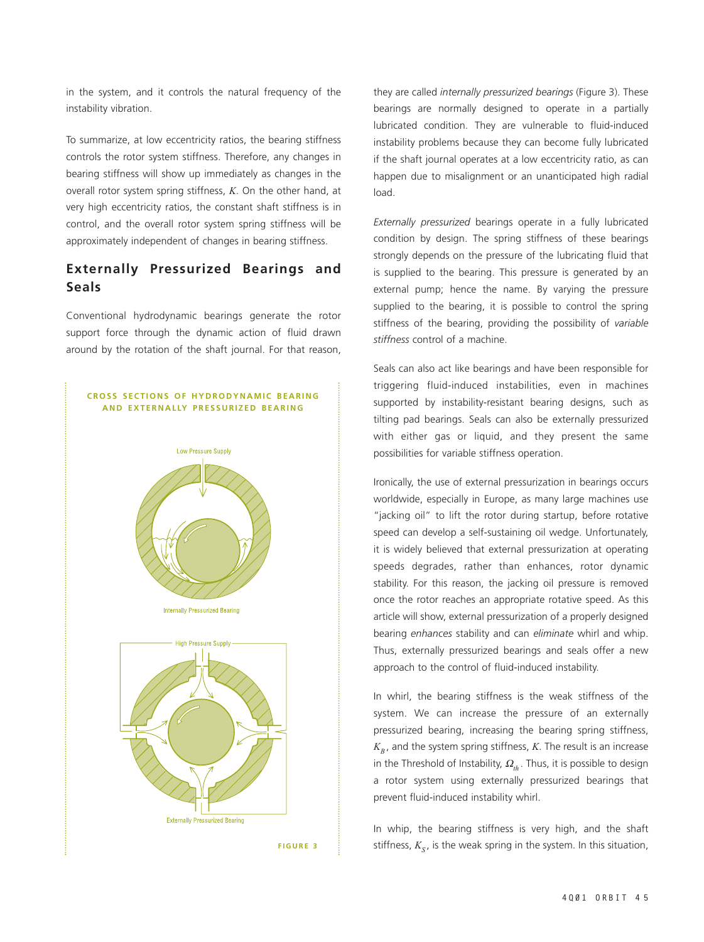in the system, and it controls the natural frequency of the instability vibration.

To summarize, at low eccentricity ratios, the bearing stiffness controls the rotor system stiffness. Therefore, any changes in bearing stiffness will show up immediately as changes in the overall rotor system spring stiffness, *K*. On the other hand, at very high eccentricity ratios, the constant shaft stiffness is in control, and the overall rotor system spring stiffness will be approximately independent of changes in bearing stiffness.

### **Externally Pressurized Bearings and Seals**

Conventional hydrodynamic bearings generate the rotor support force through the dynamic action of fluid drawn around by the rotation of the shaft journal. For that reason,

#### **CROSS SECTIONS OF HYDRODYNAMIC BEARING AND EXTERNALLY PRESSURIZED BEARING**



they are called *internally pressurized bearings* (Figure 3). These bearings are normally designed to operate in a partially lubricated condition. They are vulnerable to fluid-induced instability problems because they can become fully lubricated if the shaft journal operates at a low eccentricity ratio, as can happen due to misalignment or an unanticipated high radial load.

*Externally pressurized* bearings operate in a fully lubricated condition by design. The spring stiffness of these bearings strongly depends on the pressure of the lubricating fluid that is supplied to the bearing. This pressure is generated by an external pump; hence the name. By varying the pressure supplied to the bearing, it is possible to control the spring stiffness of the bearing, providing the possibility of *variable stiffness* control of a machine.

Seals can also act like bearings and have been responsible for triggering fluid-induced instabilities, even in machines supported by instability-resistant bearing designs, such as tilting pad bearings. Seals can also be externally pressurized with either gas or liquid, and they present the same possibilities for variable stiffness operation.

Ironically, the use of external pressurization in bearings occurs worldwide, especially in Europe, as many large machines use "jacking oil" to lift the rotor during startup, before rotative speed can develop a self-sustaining oil wedge. Unfortunately, it is widely believed that external pressurization at operating speeds degrades, rather than enhances, rotor dynamic stability. For this reason, the jacking oil pressure is removed once the rotor reaches an appropriate rotative speed. As this article will show, external pressurization of a properly designed bearing *enhances* stability and can *eliminate* whirl and whip. Thus, externally pressurized bearings and seals offer a new approach to the control of fluid-induced instability.

In whirl, the bearing stiffness is the weak stiffness of the system. We can increase the pressure of an externally pressurized bearing, increasing the bearing spring stiffness,  $K_B$ , and the system spring stiffness, *K*. The result is an increase in the Threshold of Instability,  $\Omega_{th}$ . Thus, it is possible to design a rotor system using externally pressurized bearings that prevent fluid-induced instability whirl.

In whip, the bearing stiffness is very high, and the shaft stiffness,  $K<sub>s</sub>$ , is the weak spring in the system. In this situation,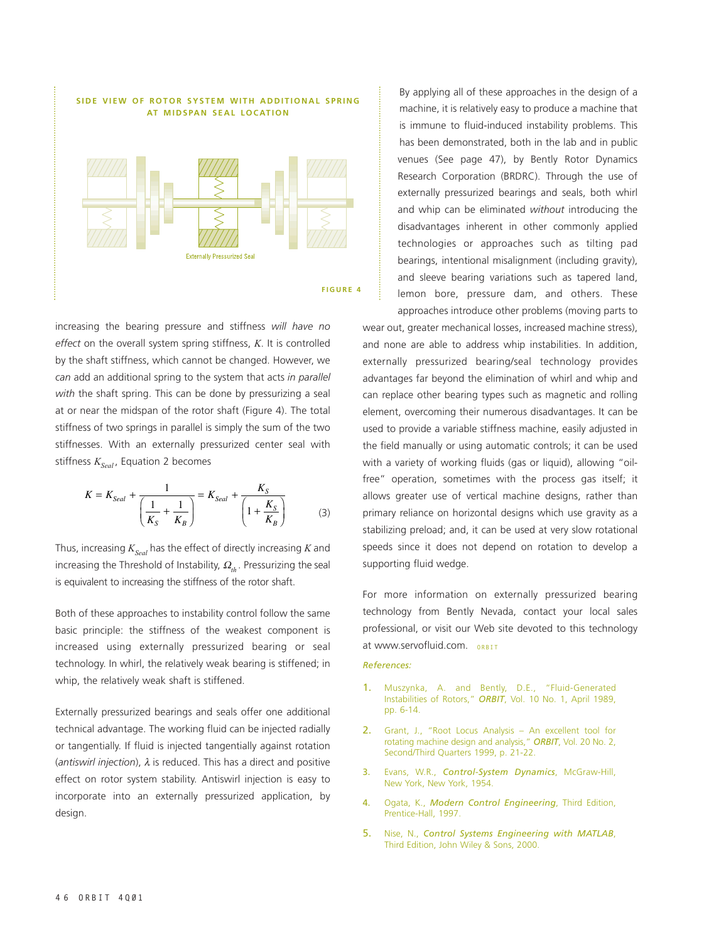

increasing the bearing pressure and stiffness *will have no effect* on the overall system spring stiffness, *K*. It is controlled by the shaft stiffness, which cannot be changed. However, we *can* add an additional spring to the system that acts *in parallel with* the shaft spring. This can be done by pressurizing a seal at or near the midspan of the rotor shaft (Figure 4). The total stiffness of two springs in parallel is simply the sum of the two stiffnesses. With an externally pressurized center seal with stiffness  $K_{Sed}$ , Equation 2 becomes

$$
K = K_{\text{Scal}} + \frac{1}{\left(\frac{1}{K_S} + \frac{1}{K_B}\right)} = K_{\text{Scal}} + \frac{K_S}{\left(1 + \frac{K_S}{K_B}\right)}\tag{3}
$$

Thus, increasing  $K_{Sed}$  has the effect of directly increasing  $K$  and increasing the Threshold of Instability,  $\Omega_{th}$ . Pressurizing the seal is equivalent to increasing the stiffness of the rotor shaft.

Both of these approaches to instability control follow the same basic principle: the stiffness of the weakest component is increased using externally pressurized bearing or seal technology. In whirl, the relatively weak bearing is stiffened; in whip, the relatively weak shaft is stiffened.

Externally pressurized bearings and seals offer one additional technical advantage. The working fluid can be injected radially or tangentially. If fluid is injected tangentially against rotation (*antiswirl injection*), λ is reduced. This has a direct and positive effect on rotor system stability. Antiswirl injection is easy to incorporate into an externally pressurized application, by design.

By applying all of these approaches in the design of a machine, it is relatively easy to produce a machine that is immune to fluid-induced instability problems. This has been demonstrated, both in the lab and in public venues (See page 47), by Bently Rotor Dynamics Research Corporation (BRDRC). Through the use of externally pressurized bearings and seals, both whirl and whip can be eliminated *without* introducing the disadvantages inherent in other commonly applied technologies or approaches such as tilting pad bearings, intentional misalignment (including gravity), and sleeve bearing variations such as tapered land, lemon bore, pressure dam, and others. These approaches introduce other problems (moving parts to

wear out, greater mechanical losses, increased machine stress), and none are able to address whip instabilities. In addition, externally pressurized bearing/seal technology provides advantages far beyond the elimination of whirl and whip and can replace other bearing types such as magnetic and rolling element, overcoming their numerous disadvantages. It can be used to provide a variable stiffness machine, easily adjusted in the field manually or using automatic controls; it can be used with a variety of working fluids (gas or liquid), allowing "oilfree" operation, sometimes with the process gas itself; it allows greater use of vertical machine designs, rather than primary reliance on horizontal designs which use gravity as a stabilizing preload; and, it can be used at very slow rotational speeds since it does not depend on rotation to develop a supporting fluid wedge.

For more information on externally pressurized bearing technology from Bently Nevada, contact your local sales professional, or visit our Web site devoted to this technology at www.servofluid.com. **ORBIT**

#### *References:*

- 1. Muszynka, A. and Bently, D.E., "Fluid-Generated Instabilities of Rotors," *ORBIT*, Vol. 10 No. 1, April 1989, pp. 6-14.
- 2. Grant, J., "Root Locus Analysis An excellent tool for rotating machine design and analysis," *ORBIT*, Vol. 20 No. 2, Second/Third Quarters 1999, p. 21-22.
- 3. Evans, W.R., *Control-System Dynamics*, McGraw-Hill, New York, New York, 1954.
- 4. Ogata, K., *Modern Control Engineering*, Third Edition, Prentice-Hall, 1997.
- 5. Nise, N., *Control Systems Engineering with MATLAB*, Third Edition, John Wiley & Sons, 2000.